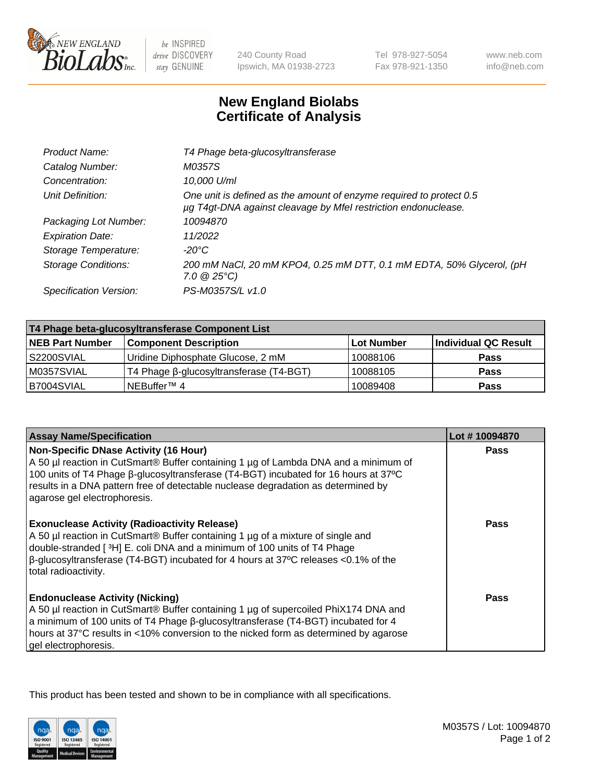

 $be$  INSPIRED drive DISCOVERY stay GENUINE

240 County Road Ipswich, MA 01938-2723

Tel 978-927-5054 Fax 978-921-1350 www.neb.com info@neb.com

## **New England Biolabs Certificate of Analysis**

| Catalog Number:<br>M0357S<br>10,000 U/ml<br>Concentration:<br>One unit is defined as the amount of enzyme required to protect 0.5<br>Unit Definition:<br>µg T4gt-DNA against cleavage by Mfel restriction endonuclease.<br>Packaging Lot Number:<br>10094870<br>11/2022<br><b>Expiration Date:</b><br>Storage Temperature:<br>-20°C<br><b>Storage Conditions:</b><br>$7.0 \ @ 25^{\circ}C$<br>PS-M0357S/L v1.0<br>Specification Version: | Product Name: | T4 Phage beta-glucosyltransferase                                    |
|------------------------------------------------------------------------------------------------------------------------------------------------------------------------------------------------------------------------------------------------------------------------------------------------------------------------------------------------------------------------------------------------------------------------------------------|---------------|----------------------------------------------------------------------|
|                                                                                                                                                                                                                                                                                                                                                                                                                                          |               |                                                                      |
|                                                                                                                                                                                                                                                                                                                                                                                                                                          |               |                                                                      |
|                                                                                                                                                                                                                                                                                                                                                                                                                                          |               |                                                                      |
|                                                                                                                                                                                                                                                                                                                                                                                                                                          |               |                                                                      |
|                                                                                                                                                                                                                                                                                                                                                                                                                                          |               |                                                                      |
|                                                                                                                                                                                                                                                                                                                                                                                                                                          |               |                                                                      |
|                                                                                                                                                                                                                                                                                                                                                                                                                                          |               | 200 mM NaCl, 20 mM KPO4, 0.25 mM DTT, 0.1 mM EDTA, 50% Glycerol, (pH |
|                                                                                                                                                                                                                                                                                                                                                                                                                                          |               |                                                                      |

| T4 Phage beta-glucosyltransferase Component List |                                         |                   |                      |  |
|--------------------------------------------------|-----------------------------------------|-------------------|----------------------|--|
| <b>NEB Part Number</b>                           | <b>Component Description</b>            | <b>Lot Number</b> | Individual QC Result |  |
| S2200SVIAL                                       | Uridine Diphosphate Glucose, 2 mM       | 10088106          | <b>Pass</b>          |  |
| M0357SVIAL                                       | T4 Phage β-glucosyltransferase (T4-BGT) | 10088105          | <b>Pass</b>          |  |
| B7004SVIAL                                       | NEBuffer <sup>™</sup> 4                 | 10089408          | Pass                 |  |

| <b>Assay Name/Specification</b>                                                                                                                                                                                                                                                                                                                 | Lot #10094870 |
|-------------------------------------------------------------------------------------------------------------------------------------------------------------------------------------------------------------------------------------------------------------------------------------------------------------------------------------------------|---------------|
| <b>Non-Specific DNase Activity (16 Hour)</b><br>A 50 µl reaction in CutSmart® Buffer containing 1 µg of Lambda DNA and a minimum of<br>100 units of T4 Phage β-glucosyltransferase (T4-BGT) incubated for 16 hours at 37°C<br>results in a DNA pattern free of detectable nuclease degradation as determined by<br>agarose gel electrophoresis. | <b>Pass</b>   |
| <b>Exonuclease Activity (Radioactivity Release)</b><br>A 50 µl reaction in CutSmart® Buffer containing 1 µg of a mixture of single and<br>double-stranded [3H] E. coli DNA and a minimum of 100 units of T4 Phage<br>β-glucosyltransferase (T4-BGT) incubated for 4 hours at 37°C releases <0.1% of the<br>total radioactivity.                 | <b>Pass</b>   |
| <b>Endonuclease Activity (Nicking)</b><br>A 50 µl reaction in CutSmart® Buffer containing 1 µg of supercoiled PhiX174 DNA and<br>a minimum of 100 units of T4 Phage $\beta$ -glucosyltransferase (T4-BGT) incubated for 4<br>hours at 37°C results in <10% conversion to the nicked form as determined by agarose<br>gel electrophoresis.       | Pass          |

This product has been tested and shown to be in compliance with all specifications.